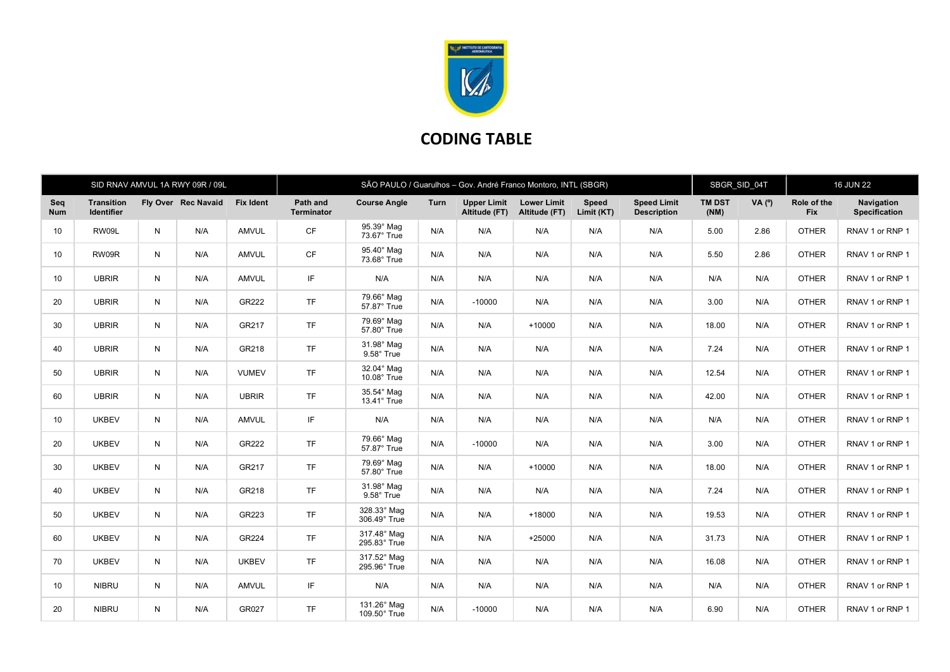

## CODING TABLE

| SID RNAV AMVUL 1A RWY 09R / 09L |                                        |   |                     |                  | SÃO PAULO / Guarulhos - Gov. André Franco Montoro, INTL (SBGR) |                                  |      |                                     |                                     |                            |                                          | SBGR SID 04T          |          | <b>16 JUN 22</b>          |                                    |
|---------------------------------|----------------------------------------|---|---------------------|------------------|----------------------------------------------------------------|----------------------------------|------|-------------------------------------|-------------------------------------|----------------------------|------------------------------------------|-----------------------|----------|---------------------------|------------------------------------|
| Seq<br><b>Num</b>               | <b>Transition</b><br><b>Identifier</b> |   | Fly Over Rec Navaid | <b>Fix Ident</b> | Path and<br><b>Terminator</b>                                  | <b>Course Angle</b>              | Turn | <b>Upper Limit</b><br>Altitude (FT) | <b>Lower Limit</b><br>Altitude (FT) | <b>Speed</b><br>Limit (KT) | <b>Speed Limit</b><br><b>Description</b> | <b>TM DST</b><br>(NM) | VA $(°)$ | Role of the<br><b>Fix</b> | Navigation<br><b>Specification</b> |
| 10                              | RW09L                                  | N | N/A                 | <b>AMVUL</b>     | <b>CF</b>                                                      | 95.39° Mag<br>73.67° True        | N/A  | N/A                                 | N/A                                 | N/A                        | N/A                                      | 5.00                  | 2.86     | <b>OTHER</b>              | RNAV 1 or RNP 1                    |
| 10                              | RW09R                                  | N | N/A                 | <b>AMVUL</b>     | CF                                                             | 95.40° Mag<br>73.68° True        | N/A  | N/A                                 | N/A                                 | N/A                        | N/A                                      | 5.50                  | 2.86     | <b>OTHER</b>              | RNAV 1 or RNP 1                    |
| 10 <sup>1</sup>                 | <b>UBRIR</b>                           | N | N/A                 | AMVUL            | IF.                                                            | N/A                              | N/A  | N/A                                 | N/A                                 | N/A                        | N/A                                      | N/A                   | N/A      | <b>OTHER</b>              | RNAV 1 or RNP 1                    |
| 20                              | <b>UBRIR</b>                           | N | N/A                 | GR222            | <b>TF</b>                                                      | 79.66° Mag<br>57.87° True        | N/A  | $-10000$                            | N/A                                 | N/A                        | N/A                                      | 3.00                  | N/A      | <b>OTHER</b>              | RNAV 1 or RNP 1                    |
| 30                              | <b>UBRIR</b>                           | N | N/A                 | GR217            | <b>TF</b>                                                      | 79.69° Mag<br>57.80° True        | N/A  | N/A                                 | $+10000$                            | N/A                        | N/A                                      | 18.00                 | N/A      | <b>OTHER</b>              | RNAV 1 or RNP 1                    |
| 40                              | <b>UBRIR</b>                           | N | N/A                 | GR218            | <b>TF</b>                                                      | 31.98° Mag<br>9.58° True         | N/A  | N/A                                 | N/A                                 | N/A                        | N/A                                      | 7.24                  | N/A      | <b>OTHER</b>              | RNAV 1 or RNP 1                    |
| 50                              | <b>UBRIR</b>                           | N | N/A                 | <b>VUMEV</b>     | <b>TF</b>                                                      | 32.04° Mag<br>$10.08^\circ$ True | N/A  | N/A                                 | N/A                                 | N/A                        | N/A                                      | 12.54                 | N/A      | <b>OTHER</b>              | RNAV 1 or RNP 1                    |
| 60                              | <b>UBRIR</b>                           | N | N/A                 | <b>UBRIR</b>     | <b>TF</b>                                                      | 35.54° Mag<br>13.41° True        | N/A  | N/A                                 | N/A                                 | N/A                        | N/A                                      | 42.00                 | N/A      | <b>OTHER</b>              | RNAV 1 or RNP 1                    |
| 10 <sup>1</sup>                 | <b>UKBEV</b>                           | N | N/A                 | AMVUL            | IF                                                             | N/A                              | N/A  | N/A                                 | N/A                                 | N/A                        | N/A                                      | N/A                   | N/A      | <b>OTHER</b>              | RNAV 1 or RNP 1                    |
| 20                              | <b>UKBEV</b>                           | N | N/A                 | GR222            | <b>TF</b>                                                      | 79.66° Mag<br>57.87° True        | N/A  | $-10000$                            | N/A                                 | N/A                        | N/A                                      | 3.00                  | N/A      | <b>OTHER</b>              | RNAV 1 or RNP 1                    |
| 30                              | <b>UKBEV</b>                           | N | N/A                 | GR217            | <b>TF</b>                                                      | 79.69° Mag<br>57.80° True        | N/A  | N/A                                 | $+10000$                            | N/A                        | N/A                                      | 18.00                 | N/A      | <b>OTHER</b>              | RNAV 1 or RNP 1                    |
| 40                              | <b>UKBEV</b>                           | N | N/A                 | GR218            | <b>TF</b>                                                      | 31.98° Mag<br>9.58° True         | N/A  | N/A                                 | N/A                                 | N/A                        | N/A                                      | 7.24                  | N/A      | <b>OTHER</b>              | RNAV 1 or RNP 1                    |
| 50                              | <b>UKBEV</b>                           | N | N/A                 | GR223            | <b>TF</b>                                                      | 328.33° Mag<br>306.49° True      | N/A  | N/A                                 | $+18000$                            | N/A                        | N/A                                      | 19.53                 | N/A      | <b>OTHER</b>              | RNAV 1 or RNP 1                    |
| 60                              | <b>UKBEV</b>                           | N | N/A                 | GR224            | <b>TF</b>                                                      | 317.48° Mag<br>295.83° True      | N/A  | N/A                                 | $+25000$                            | N/A                        | N/A                                      | 31.73                 | N/A      | <b>OTHER</b>              | RNAV 1 or RNP 1                    |
| 70                              | <b>UKBEV</b>                           | N | N/A                 | <b>UKBEV</b>     | <b>TF</b>                                                      | 317.52° Mag<br>295.96° True      | N/A  | N/A                                 | N/A                                 | N/A                        | N/A                                      | 16.08                 | N/A      | <b>OTHER</b>              | RNAV 1 or RNP 1                    |
| 10 <sup>1</sup>                 | <b>NIBRU</b>                           | N | N/A                 | <b>AMVUL</b>     | IF                                                             | N/A                              | N/A  | N/A                                 | N/A                                 | N/A                        | N/A                                      | N/A                   | N/A      | <b>OTHER</b>              | RNAV 1 or RNP 1                    |
| 20                              | <b>NIBRU</b>                           | N | N/A                 | GR027            | <b>TF</b>                                                      | 131.26° Mag<br>109.50° True      | N/A  | $-10000$                            | N/A                                 | N/A                        | N/A                                      | 6.90                  | N/A      | <b>OTHER</b>              | RNAV 1 or RNP 1                    |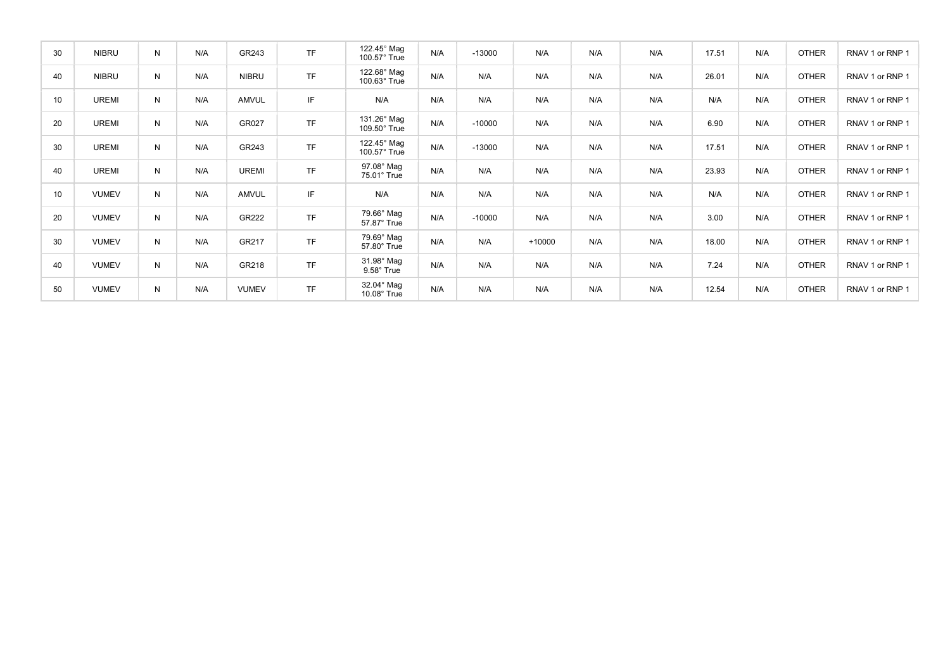| 30 | <b>NIBRU</b> | N | N/A | GR243        | <b>TF</b> | 122.45° Mag<br>100.57° True      | N/A | $-13000$ | N/A      | N/A | N/A | 17.51 | N/A | <b>OTHER</b> | RNAV 1 or RNP 1 |
|----|--------------|---|-----|--------------|-----------|----------------------------------|-----|----------|----------|-----|-----|-------|-----|--------------|-----------------|
| 40 | <b>NIBRU</b> | N | N/A | <b>NIBRU</b> | <b>TF</b> | 122.68° Mag<br>100.63° True      | N/A | N/A      | N/A      | N/A | N/A | 26.01 | N/A | <b>OTHER</b> | RNAV 1 or RNP 1 |
| 10 | <b>UREMI</b> | N | N/A | AMVUL        | IF        | N/A                              | N/A | N/A      | N/A      | N/A | N/A | N/A   | N/A | <b>OTHER</b> | RNAV 1 or RNP 1 |
| 20 | <b>UREMI</b> | N | N/A | GR027        | <b>TF</b> | 131.26° Mag<br>109.50° True      | N/A | $-10000$ | N/A      | N/A | N/A | 6.90  | N/A | <b>OTHER</b> | RNAV 1 or RNP 1 |
| 30 | <b>UREMI</b> | N | N/A | GR243        | <b>TF</b> | 122.45° Mag<br>100.57° True      | N/A | $-13000$ | N/A      | N/A | N/A | 17.51 | N/A | <b>OTHER</b> | RNAV 1 or RNP 1 |
| 40 | <b>UREMI</b> | N | N/A | <b>UREMI</b> | <b>TF</b> | 97.08° Mag<br>75.01° True        | N/A | N/A      | N/A      | N/A | N/A | 23.93 | N/A | <b>OTHER</b> | RNAV 1 or RNP 1 |
| 10 | <b>VUMEV</b> | N | N/A | AMVUL        | IF        | N/A                              | N/A | N/A      | N/A      | N/A | N/A | N/A   | N/A | <b>OTHER</b> | RNAV 1 or RNP 1 |
| 20 | <b>VUMEV</b> | N | N/A | GR222        | <b>TF</b> | 79.66° Mag<br>57.87° True        | N/A | $-10000$ | N/A      | N/A | N/A | 3.00  | N/A | <b>OTHER</b> | RNAV 1 or RNP 1 |
| 30 | <b>VUMEV</b> | N | N/A | GR217        | TF        | 79.69° Mag<br>57.80° True        | N/A | N/A      | $+10000$ | N/A | N/A | 18.00 | N/A | <b>OTHER</b> | RNAV 1 or RNP 1 |
| 40 | VUMEV        | N | N/A | GR218        | <b>TF</b> | 31.98° Mag<br>9.58° True         | N/A | N/A      | N/A      | N/A | N/A | 7.24  | N/A | <b>OTHER</b> | RNAV 1 or RNP 1 |
| 50 | <b>VUMEV</b> | N | N/A | <b>VUMEV</b> | <b>TF</b> | 32.04° Mag<br>$10.08^\circ$ True | N/A | N/A      | N/A      | N/A | N/A | 12.54 | N/A | <b>OTHER</b> | RNAV 1 or RNP 1 |